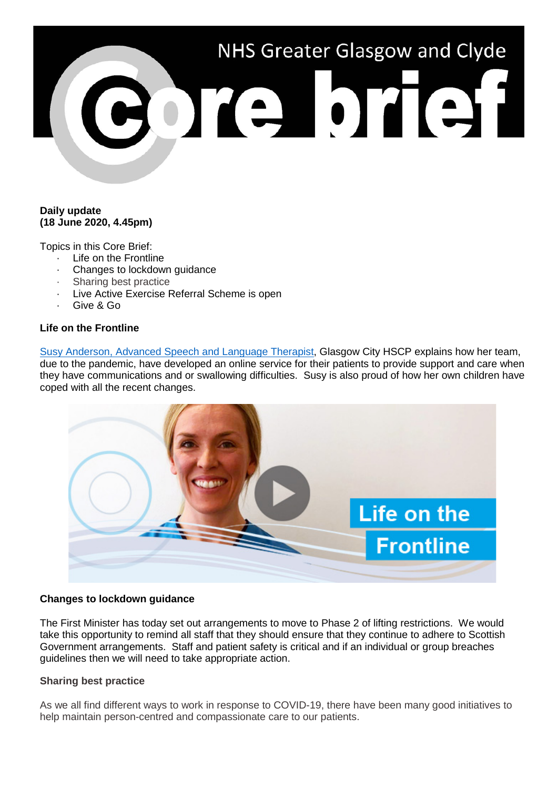# NHS Greater Glasgow and Clyde ore brief

## **Daily update (18 June 2020, 4.45pm)**

Topics in this Core Brief:

- · Life on the Frontline
- Changes to lockdown guidance
- · Sharing best practice
- · Live Active Exercise Referral Scheme is open
- · Give & Go

# **Life on the Frontline**

Susy Anderson, Advanced [Speech and Language Therapist,](https://www.youtube.com/watch?v=daV0bKmSw7A) Glasgow City HSCP explains how her team, due to the pandemic, have developed an online service for their patients to provide support and care when they have communications and or swallowing difficulties. Susy is also proud of how her own children have coped with all the recent changes.



# **Changes to lockdown guidance**

The First Minister has today set out arrangements to move to Phase 2 of lifting restrictions. We would take this opportunity to remind all staff that they should ensure that they continue to adhere to Scottish Government arrangements. Staff and patient safety is critical and if an individual or group breaches guidelines then we will need to take appropriate action.

#### **Sharing best practice**

As we all find different ways to work in response to COVID-19, there have been many good initiatives to help maintain person-centred and compassionate care to our patients.